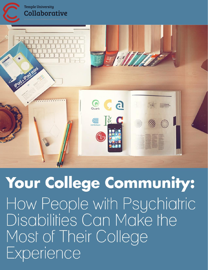

Your College Community: How People with Psychiatric Disabilities Can Make the Most of Their College Experience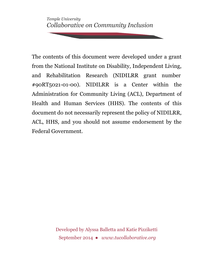*Temple University Collaborative on Community Inclusion*

The contents of this document were developed under a grant from the National Institute on Disability, Independent Living, and Rehabilitation Research (NIDILRR grant number #90RT5021-01-00). NIDILRR is a Center within the Administration for Community Living (ACL), Department of Health and Human Services (HHS). The contents of this document do not necessarily represent the policy of NIDILRR, ACL, HHS, and you should not assume endorsement by the Federal Government.

> Developed by Alyssa Balletta and Katie Pizziketti September 2014 ● *[www.tucollaborative.org](http://www.tucollaborative.org/)*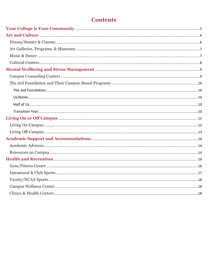# **Contents**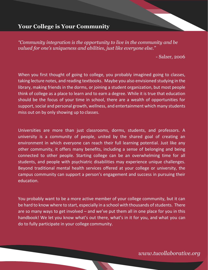## <span id="page-5-0"></span>**Your College is Your Community**

*"Community integration is the opportunity to live in the community and be valued for one's uniqueness and abilities, just like everyone else."*

- Salzer, 2006

When you first thought of going to college, you probably imagined going to classes, taking lecture notes, and reading textbooks. Maybe you also envisioned studying in the library, making friends in the dorms, or joining a student organization, but most people think of college as a place to learn and to earn a degree. While it is true that education should be the focus of your time in school, there are a wealth of opportunities for support, social and personal growth, wellness, and entertainment which many students miss out on by only showing up to classes.

Universities are more than just classrooms, dorms, students, and professors. A university is a community of people, united by the shared goal of creating an environment in which everyone can reach their full learning potential. Just like any other community, it offers many benefits, including a sense of belonging and being connected to other people. Starting college can be an overwhelming time for all students, and people with psychiatric disabilities may experience unique challenges. Beyond traditional mental health services offered at your college or university, the campus community can support a person's engagement and success in pursuing their education.

You probably want to be a more active member of your college community, but it can be hard to know where to start, especially in a school with thousands of students. There are so many ways to get involved – and we've put them all in one place for you in this handbook! We let you know what's out there, what's in it for you, and what you can do to fully participate in your college community.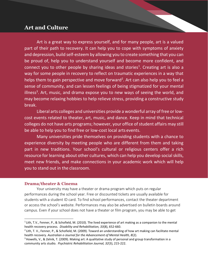## <span id="page-6-0"></span>**Art and Culture**

Art is a great way to express yourself, and for many people, art is a valued part of their path to recovery. It can help you to cope with symptoms of anxiety and depression, build self-esteem by allowing you to create something that you can be proud of, help you to understand yourself and become more confident, and connect you to other people by sharing ideas and stories<sup>1</sup>. Creating art is also a way for some people in recovery to reflect on traumatic experiences in a way that helps them to gain perspective and move forward<sup>2</sup>. Art can also help you to feel a sense of community, and can lessen feelings of being stigmatized for your mental illness<sup>3</sup>. Art, music, and drama expose you to new ways of seeing the world, and may become relaxing hobbies to help relieve stress, providing a constructive study break.

Liberal arts colleges and universities provide a wonderful array of free or lowcost events related to theater, art, music, and dance. Keep in mind that technical colleges do not have arts programs; however, your office of student affairs may still be able to help you to find free or low-cost local arts events.

Many universities pride themselves on providing students with a chance to experience diversity by meeting people who are different from them and taking part in new traditions. Your school's cultural or religious centers offer a rich resource for learning about other cultures, which can help you develop social skills, meet new friends, and make connections in your academic work which will help you to stand out in the classroom.

### <span id="page-6-1"></span>**Drama/theater & Cinema**

Your university may have a theater or drama program which puts on regular performances during the school year. Free or discounted tickets are usually available for students with a student ID card. To find school performances, contact the theater department or access the school's website. Performances may also be advertised on bulletin boards around campus. Even if your school does not have a theater or film program, you may be able to get

<sup>&</sup>lt;sup>1</sup> Lith, T.V., Fenner, P., & Schofield, M. (2010). The lived experience of art making as a companion to the mental health recovery process. *Disability and Rehabilitation, 33*(8), 652-660.

 $2$ Lith, T. V., Fenner, P., & Schofield, M. (2009). Toward an understanding of how art making can facilitate mental health recovery. *Australian e-Journal for the Advancement of Mental Health, 8*(2).

<sup>&</sup>lt;sup>3</sup> Howells, V., & Zelnik, T. (2009). Making art: A qualitative study of personal and group transformation in a community arts studio. *Psychiatric Rehabilitation Journal, 32*(3), 215-222.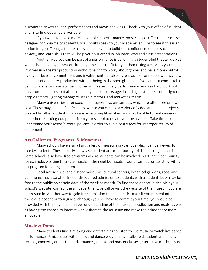discounted tickets to local performances and movie showings. Check with your office of student affairs to find out what is available.

If you want to take a more active role in performance, most schools offer theater classes designed for non-major students; you should speak to your academic advisor to see if this is an option for you. Taking a theater class can help you to build self-confidence, reduce social anxiety, and learn skills that will help you to succeed in job interviews and class presentations.

Another way you can be part of a performance is by joining a student-led theater club at your school. Joining a theater club might be a better fit for you than taking a class, as you can be involved in a theater production without having to worry about grades and have more control over your level of commitment and involvement. It's also a great option for people who want to be a part of a theater production without being in the spotlight; even if you are not comfortable being onstage, you can still be involved in theater! Every performance requires hard work not only from the actors, but also from many people backstage, including costumers, set designers, prop directors, lighting managers, stage directors, and marketing teams.

Many universities offer special film screenings on-campus, which are often free or lowcost. These may include film festivals, where you can see a variety of video and media projects created by other students. If you are an aspiring filmmaker, you may be able to rent cameras and other recording equipment from your school to create your own videos. Take time to understand your school's rental policies in order to avoid costly fees for improper return of equipment.

#### <span id="page-7-0"></span>**Art Galleries, Programs, & Museums**

Many schools have a small art gallery or museum on-campus which can be viewed for free by students. These usually showcase student art or temporary exhibitions of guest artists. Some schools also have free programs where students can be involved in art in the community – for example, working to create murals in the neighborhoods around campus, or assisting with an art program for young children.

Local art, science, and history museums, cultural centers, botanical gardens, zoos, and aquariums may also offer free or discounted admission to students with a student ID, or may be free to the public on certain days of the week or month. To find these opportunities, visit your school's website, contact the art department, or call or visit the website of the museum you are interested in. Another way to gain free admission to museums is to ask if you may volunteer there as a docent or tour guide; although you will have to commit your time, you would be provided with training and a deeper understanding of the museum's collection and goals, as well as having the chance to interact with visitors to the museum and make their time there more enjoyable.

#### <span id="page-7-1"></span>**Music & Dance**

Many students find it relaxing and entertaining to listen to live music or watch live dance performances. Universities with music and dance programs typically hold student and faculty recitals, concerts, orchestral performances, opera, and master classes (interactive music lessons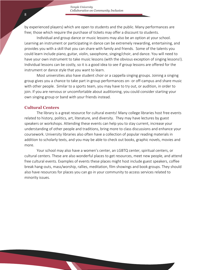by experienced players) which are open to students and the public. Many performances are free; those which require the purchase of tickets may offer a discount to students.

Individual and group dance or music lessons may also be an option at your school. Learning an instrument or participating in dance can be extremely rewarding, entertaining, and provides you with a skill that you can share with family and friends. Some of the talents you could learn include piano, guitar, violin, saxophone, singing/choir, and dance. You will need to have your own instrument to take music lessons (with the obvious exception of singing lessons!). Individual lessons can be costly, so it is a good idea to see if group lessons are offered for the instrument or dance style that you want to learn.

Most universities also have student choir or a cappella singing groups. Joining a singing group gives you a chance to take part in group performances on- or off-campus and share music with other people. Similar to a sports team, you may have to try out, or audition, in order to join. If you are nervous or uncomfortable about auditioning, you could consider starting your own singing group or band with your friends instead.

### <span id="page-8-0"></span>**Cultural Centers**

The library is a great resource for cultural events! Many college libraries host free events related to history, politics, art, literature, and diversity. They may have lectures by guest speakers or workshops. Attending these events can help you to stay current, increase your understanding of other people and traditions, bring more to class discussions and enhance your coursework. University libraries also often have a collection of popular reading materials in addition to scholarly texts, and you may be able to check out books, graphic novels, movies and more.

Your school may also have a women's center, an LGBTQ center, spiritual centers, or cultural centers. These are also wonderful places to get resources, meet new people, and attend free cultural events. Examples of events these places might host include guest speakers, coffee break hang-outs, mass/worship, rallies, meditation, film showings and book groups. They should also have resources for places you can go in your community to access services related to minority issues.

8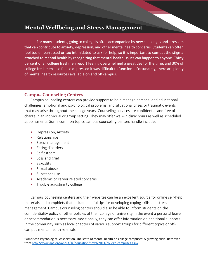## <span id="page-9-0"></span>**Mental Wellbeing and Stress Management**

For many students, going to college is often accompanied by new challenges and stressors that can contribute to anxiety, depression, and other mental health concerns. Students can often feel too embarrassed or too intimidated to ask for help, so it is important to combat the stigma attached to mental health by recognizing that mental health issues can happen to anyone. Thirty percent of all college freshmen report feeling overwhelmed a great deal of the time, and 30% of college freshmen also felt so depressed it was difficult to function<sup>4</sup>. Fortunately, there are plenty of mental health resources available on and off campus.

## <span id="page-9-1"></span>**Campus Counseling Centers**

Campus counseling centers can provide support to help manage personal and educational challenges, emotional and psychological problems, and situational crises or traumatic events that may arise throughout the college years. Counseling services are confidential and free of charge in an individual or group setting. They may offer walk-in clinic hours as well as scheduled appointments. Some common topics campus counseling centers handle include:

- Depression, Anxiety
- Relationships
- Stress management
- Eating disorders
- Self esteem
- Loss and grief
- **•** Sexuality
- **Sexual abuse**
- Substance use
- Academic or career related concerns
- Trouble adjusting to college

Campus counseling centers and their websites can be an excellent source for online self-help materials and pamphlets that include helpful tips for developing coping skills and stress management. Campus counseling centers should also be able to inform students on the confidentiality policy or other policies of their college or university in the event a personal leave or accommodation is necessary. Additionally, they can offer information on additional supports in the community such as local chapters of various support groups for different topics or offcampus mental health referrals.

<sup>4</sup>American Psychological Association. The state of mental health on college campuses: A growing crisis. Retrieved from [http://www.apa.org/about/gr/education/news/2011/college-campuses.aspx.](http://www.apa.org/about/gr/education/news/2011/college-campuses.aspx)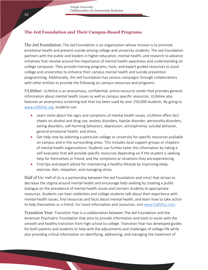## <span id="page-10-0"></span>**The Jed Foundation and Their Campus-Based Programs**

<span id="page-10-1"></span>The Jed Foundation: The Jed Foundation is an organization whose mission is to promote emotional health and prevent suicide among college and university students. The Jed Foundation partners with the public and leaders in higher education, mental health, and research to advance initiatives that revolve around the importance of mental health awareness and understanding on college campuses. They provide training programs, tools, and expert guided resources to assist college and universities to enhance their campus mental health and suicide prevention programming. Additionally, the Jed Foundation has various campaigns through collaborations with other entities to provide the following on campus resources and programs:

<span id="page-10-2"></span>ULifeline: ULifeline is an anonymous, confidential, online resource center that provides general information about mental health issues as well as campus specific resources. ULifeline also features an anonymous screening tool that has been used by over 250,000 students. By going to [www.ulifeline.org,](http://www.ulifeline.org/) students can:

- Learn more about the signs and symptoms of mental health issues. ULifeline offers fact sheets on alcohol and drug use, anxiety disorders, bipolar disorder, personality disorders, eating disorders, self-harming behaviors, depression, schizophrenia, suicidal behavior, general emotional health, and stress.
- Get help now by selecting a particular college or university for specific resources available on campus and in the surrounding areas. This includes local support groups or chapters of mental health organizations. Students can further tailor this information by taking a self-evaluator that will provide specific resources depending on if the student is seeking help for themselves or friend, and the symptoms or situations they are experiencing.
- Find tips and expert advice for maintaining a healthy lifestyle by improving sleep, exercise, diet, relaxation, and managing stress.

<span id="page-10-3"></span>Half of Us: Half of Us is a partnership between the Jed Foundation and mtvU that strives to decrease the stigma around mental health and encourage help-seeking by creating a public dialogue on the prevalence of mental health issues and connect students to appropriate resources. Students can hear celebrities and college students talk about their experience with mental health issues, find resources and facts about mental health, and learn how to take action to help themselves or a friend. For more information and resources, visit [www.halfofus.com.](http://www.halfofus.com/)

<span id="page-10-4"></span>Transition Year: Transition Year is a collaboration between The Jed Foundation and the American Psychiatric Foundation that aims to provide information and tools to assist with the smooth and healthy transition from high school to college. Transition Year has developed guides for both parents and students to help with the adjustments and challenges of college life while also providing critical information on identifying, addressing, and managing the treatment of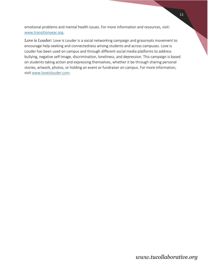emotional problems and mental health issues. For more information and resources, visit: [www.transitionyear.org.](http://www.transitionyear.org/)

Love is Louder: Love is Louder is a social networking campaign and grassroots movement to encourage help-seeking and connectedness among students and across campuses. Love is Louder has been used on campus and through different social media platforms to address bullying, negative self-image, discrimination, loneliness, and depression. This campaign is based on students taking action and expressing themselves, whether it be through sharing personal stories, artwork, photos, or holding an event or fundraiser on campus. For more information, visit [www.loveislouder.com.](http://www.loveislouder.com/)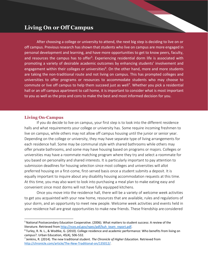## <span id="page-12-0"></span>**Living On or Off Campus**

After choosing a college or university to attend, the next big step is deciding to live on or off campus. Previous research has shown that students who live on campus are more engaged in personal development and learning, and have more opportunities to get to know peers, faculty, and resources the campus has to offer<sup>5</sup>. Experiencing residential dorm life is associated with promoting a variety of desirable academic outcomes by enhancing students' involvement and engagement within their colleges or universities<sup>6</sup>. On the other hand, more and more students are taking the non-traditional route and not living on campus. This has prompted colleges and universities to offer programs or resources to accommodate students who may choose to commute or live off campus to help them succeed just as well<sup>7</sup>. Whether you pick a residential hall or an off campus apartment to call home, it is important to consider what is most important to you as well as the pros and cons to make the best and most informed decision for you.

### <span id="page-12-1"></span>**Living On-Campus**

If you do decide to live on campus, your first step is to look into the different residence halls and what requirements your college or university has. Some require incoming freshmen to live on campus, while others may not allow off campus housing until the junior or senior year. Depending on the college or university, they may have separate type of living arrangements for each residence hall. Some may be communal style with shared bathrooms while others may offer private bathrooms, and some may have housing based on programs or majors. Colleges or universities may have a roommate matching program where they try and select a roommate for you based on personality and shared interests. It is particularly important to pay attention to submission deadlines for housing selection since most colleges and universities will allot preferred housing on a first-come, first-served basis once a student submits a deposit. It is equally important to inquire about any disability housing accommodation requests at this time. At this time, you may also want to look into purchasing a meal plan to make eating easy and convenient since most dorms will not have fully equipped kitchens.

Once you move into the residence hall, there will be a variety of welcome week activities to get you acquainted with your new home, resources that are available, rules and regulations of your dorm, and an opportunity to meet new people. Welcome week activities and events held in your residence hall are great opportunities to make new friends. These friendship are considered

<sup>&</sup>lt;sup>5</sup> National Postsecondary Education Cooperative. (2006). What matters to student success: A review of the literature. Retrieved fro[m http://nces.ed.gov/npec/pdf/kuh\\_team\\_report.pdf.](http://nces.ed.gov/npec/pdf/kuh_team_report.pdf)

<sup>6</sup>Turley, R. N. L., & Wodtke, G. (2010). College residence and academic performance: Who benefits from living on campus?. Urban Education, 45(4), 506-532.

<sup>7</sup>Jenkins, R. (2014). The new traditional student*. The Chronicle of Higher Education.* Retrieved from [http://chronicle.com/article/The-New-Traditional-on/135012/.](http://chronicle.com/article/The-New-Traditional-on/135012/)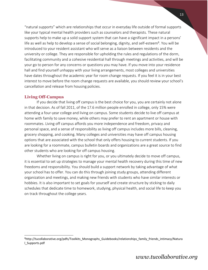"natural supports" which are relationships that occur in everyday life outside of formal supports like your typical mental health providers such as counselors and therapists. These natural supports help to make up a solid support system that can have a significant impact in a persons' life as well as help to develop a sense of social belonging, dignity, and self-esteem<sup>8</sup>. You will be introduced to your resident assistant who will serve as a liaison between residents and the university or college. They are responsible for upholding the rules and regulations of the dorm, facilitating community and a cohesive residential hall through meetings and activities, and will be your go to person for any concerns or questions you may have. If you move into your residence hall and find yourself unhappy with your living arrangements, most colleges and universities have dates throughout the academic year for room change requests. If you feel it is in your best interest to move before the room change requests are available, you should review your school's cancellation and release from housing policies.

## <span id="page-13-0"></span>**Living Off-Campus**

If you decide that living off campus is the best choice for you, you are certainly not alone in that decision. As of fall 2011, of the 17.6 million people enrolled in college, only 15% were attending a four-year college and living on campus. Some students decide to live off campus at home with family to save money, while others may prefer to rent an apartment or house with roommates. Living off campus affords you more independence and freedom, privacy and personal space, and a sense of responsibility as living off campus includes more bills, cleaning, grocery shopping, and cooking. Many colleges and universities may have off campus housing options that are associated with the school that only offers housing to current students. If you are looking for a roommate, campus bulletin boards and organizations are a great source to find other students who are looking for off campus housing.

Whether living on campus is right for you, or you ultimately decide to move off campus, it is essential to set up strategies to manage your mental health recovery during this time of new freedoms and responsibility. You should build a support network by taking advantage of what your school has to offer. You can do this through joining study groups, attending different organization and meetings, and making new friends with students who have similar interests or hobbies. It is also important to set goals for yourself and create structure by sticking to daily schedules that dedicate time to homework, studying, physical health, and social life to keep you on track throughout the college years.

<sup>&</sup>lt;sup>8</sup>[http://tucollaborative.org/pdfs/Toolkits\\_Monographs\\_Guidebooks/relationships\\_family\\_friends\\_intimacy/Natura](http://tucollaborative.org/pdfs/Toolkits_Monographs_Guidebooks/relationships_family_friends_intimacy/Natura) l\_Supports.pdf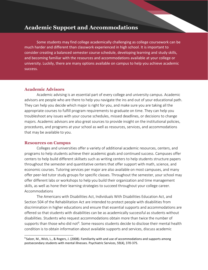## **Academic Support and Accommodations**

Some students may find college academically challenging as college coursework can be much harder and different than classwork experienced in high school. It is important to consider creating a balanced semester course schedule, developing learning and study skills, and becoming familiar with the resources and accommodations available at your college or university. Luckily, there are many options available on campus to help you achieve academic success.

## <span id="page-14-0"></span>**Academic Advisors**

Academic advising is an essential part of every college and university campus. Academic advisors are people who are there to help you navigate the ins and out of your educational path. They can help you decide which major is right for you, and make sure you are taking all the appropriate courses to fulfill program requirements to graduate on time. They can help you troubleshoot any issues with your course schedules, missed deadlines, or decisions to change majors. Academic advisors are also great sources to provide insight on the institutional policies, procedures, and programs at your school as well as resources, services, and accommodations that may be available to you.

### <span id="page-14-1"></span>**Resources on Campus**

Colleges and universities offer a variety of additional academic resources, centers, and programs to help students achieve their academic goals and continued success. Campuses offer centers to help build different skillsets such as writing centers to help students structure papers throughout the semester and quantitative centers that offer support with math, science, and economic courses. Tutoring services per major are also available on most campuses, and many offer peer-led tutor study groups for specific classes. Throughout the semester, your school may offer different labs or workshops to help you build their organization and time management skills, as well as hone their learning strategies to succeed throughout your college career. Accommodations

The Americans with Disabilities Act, Individuals With Disabilities Education Act, and Section 504 of the Rehabilitation Act are intended to protect people with disabilities from discrimination in higher educations and ensure that essential supports and accommodations are offered so that students with disabilities can be as academically successful as students without disabilities. Students who request accommodations obtain more than twice the number of supports than those who did not<sup>9</sup>. Some reasons students decide to disclose their mental health condition is to obtain information about available supports and services, discuss academic

 $9$  Salzer, M., Wick, L., & Rogers, J. (2008). Familiarity with and use of accommodations and supports among postsecondary students with mental illnesses. Psychiatric Services, 59(4), 370-375.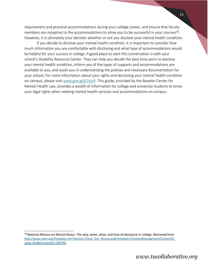requirement and practical accommodations during your college career, and ensure that faculty members are receptive to the accommodations to allow you to be successful in your courses<sup>10</sup>. However, it is ultimately your decision whether or not you disclose your mental health condition.

If you decide to disclose your mental health condition, it is important to consider how much information you are comfortable with disclosing and what type of accommodations would be helpful for your success in college. A good place to start this conversation is with your school's Disability Resource Center. They can help you decide the best time point to disclose your mental health condition, inform you of the types of supports and accommodations are available to you, and assist you in understanding the policies and necessary documentation for your school. For more information about your rights and disclosing your mental health condition on campus, please visit [www.goo.gl/G7ctvP](http://www.goo.gl/G7ctvP). This guide, provided by the Bazelon Center for Mental Health Law, provides a wealth of information for college and university students to know your legal rights when seeking mental health services and accommodations on campus.

<sup>&</sup>lt;sup>10</sup> National Alliance on Mental Illness. The why, when, what, and how of disclosure in college. Retrieved from http://www.nami.org/Template.cfm?Section=Check\_Out\_Resources&Template=/ContentManagement/ContentDi splay.cfm&ContentID=146790.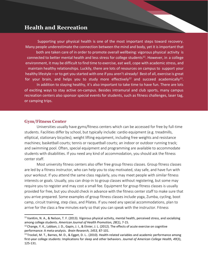## <span id="page-16-0"></span>**Health and Recreation**

Supporting your physical health is one of the most important steps toward recovery. Many people underestimate the connection between the mind and body, yet it isimportant that both are taken care of in order to promote overall wellbeing: vigorous physical activity is connected to better mental health and less stress for college students<sup>11</sup>. However, in a college environment, it may be difficult to find time to exercise, eat well, cope with academic stress, and maintain healthy relationships. Luckily, there are lots of resources on campus to support your healthy lifestyle – or to get you started with one if you aren't already! Best of all, exercise is great for your brain, and helps you to study more effectively<sup>12</sup> and succeed academically<sup>13</sup>. In addition to staying healthy, it's also important to take time to have fun. There are lots of exciting ways to stay active on-campus. Besides intramural and club sports, many campus recreation centers also sponsor special events for students, such as fitness challenges, laser tag, or camping trips.

### <span id="page-16-1"></span>**Gym/Fitness Center**

Universities usually have gyms/fitness centers which can be accessed for free by full-time students. Facilities differ by school, but typically include: cardio equipment (e.g. treadmills, elliptical, stationary bicycles); weight lifting equipment, including free weights and resistance machines; basketball courts; tennis or racquetball courts; an indoor or outdoor running track; and swimming pool. Often, special equipment and programming are available to accommodate students with disabilities. If you need any kind of accommodation, you should ask the fitness center staff.

Most university fitness centers also offer free group fitness classes. Group fitness classes are led by a fitness instructor, who can help you to stay motivated, stay safe, and have fun with your workout. If you attend the same class regularly, you may meet people with similar fitness interests or goals. Usually, you can drop-in to group classes without registering, but some may require you to register and may cost a small fee. Equipment for group fitness classes is usually provided for free, but you should check in advance with the fitness center staff to make sure that you arrive prepared. Some examples of group fitness classes include yoga, Zumba, cycling, boot camp, circuit training, step class, and Pilates. If you need any special accommodations, plan to arrive for the class a few minutes early so that you can speak with the instructor. Fitness

 $11$ VanKim, N. A., & Nelson, T. F. (2013). Vigorous physical activity, mental health, perceived stress, and socializing among college students. *American Journal of Health Promotion, 28*(1), 7-15.

 $12$  Change, Y. K., Labban, J. D., Gapin, J. I., & Etnier, J. L. (2012). The effects of acute exercise on cognitive performance: A meta-analysis. *Brain Research, 1453,* 87-101.

<sup>&</sup>lt;sup>13</sup> Trockel, M. T., Barnes, M. D., & Egget, D. L.. (2010). Health-related variables and academic performance among first-year college students: Implications for sleep and other behaviors. *Journal of American College Health, 49*(3), 125-131.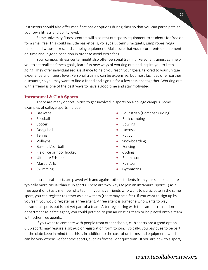instructors should also offer modifications or options during class so that you can participate at your own fitness and ability level.

Some university fitness centers will also rent out sports equipment to students for free or for a small fee. This could include basketballs, volleyballs, tennis racquets, jump ropes, yoga mats, hand wraps, bikes, and camping equipment. Make sure that you return rented equipment on-time and in good condition in order to avoid extra fees.

Your campus fitness center might also offer personal training. Personal trainers can help you to set realistic fitness goals, learn fun new ways of working out, and inspire you to keep going. They offer individualized assistance to help you reach your goals, tailored to your unique experience and fitness level. Personal training can be expensive, but most facilities offer partner discounts, so you may want to find a friend and sign up for a few sessions together. Working out with a friend is one of the best ways to have a good time and stay motivated!

#### <span id="page-17-0"></span>**Intramural & Club Sports**

There are many opportunities to get involved in sports on a college campus. Some examples of college sports include:

- Basketball
- Football
- Soccer
- Dodgeball
- Tennis
- Volleyball
- Baseball/softball
- Field, ice or floor hockey
- **Ultimate Frishee**
- Martial Arts
- Swimming
- Equestrian (Horseback riding)
- Rock climbing
- Bowling
- Lacrosse
- Rugby
- Snowboarding
- Fencing
- Cycling
- Badminton
- Paintball
- **•** Gymnastics

Intramural sports are played with and against other students from your school, and are typically more casual than club sports. There are two ways to join an intramural sport: 1) as a free agent or 2) as a member of a team. If you have friends who want to participate in the same sport, you can register together as a new team (there may be a fee). If you want to sign up by yourself, you would register as a free agent. A free agent is someone who wants to play intramural sports but is not yet part of a team. After registering with the campus recreation department as a free agent, you could petition to join an existing team or be placed onto a team with other free agents.

If you want to compete with people from other schools, club sports are a good option. Club sports may require a sign-up or registration form to join. Typically, you pay dues to be part of the club; keep in mind that this is in addition to the cost of uniforms and equipment, which can be very expensive for some sports, such as football or equestrian. If you are new to a sport,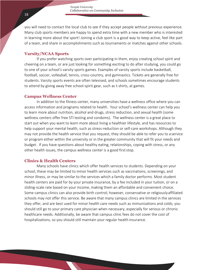you will need to contact the local club to see if they accept people without previous experience. Many club sports members are happy to spend extra time with a new member who is interested in learning more about the sport! Joining a club sport is a good way to keep active, feel like part of a team, and share in accomplishments such as tournaments or matches against other schools.

#### <span id="page-18-0"></span>**Varsity/NCAA Sports**

If you prefer watching sports over participating in them, enjoy creating school spirit and cheering on a team, or are just looking for something exciting to do after studying, you could go to one of your school's varsity sports games. Examples of varsity sports include basketball, football, soccer, volleyball, tennis, cross-country, and gymnastics. Tickets are generally free for students. Varsity sports events are often televised, and schools sometimes encourage students to attend by giving away free school-spirit gear, such as t-shirts, at games.

#### <span id="page-18-1"></span>**Campus Wellness Center**

In addition to the fitness center, many universities have a wellness office where you can access information and programs related to health. Your school's wellness center can help you to learn more about nutrition, alcohol and drugs, stress reduction, and sexual health (some wellness centers offer free STI testing and condoms). The wellness center is a great place to start out when you want to learn more about living a healthier lifestyle, and has resources to help support your mental health, such as stress-reduction or self-care workshops. Although they may not provide the health service that you request, they should be able to refer you to a service or program either within the university or in the greater community that will fit your needs and budget. If you have questions about healthy eating, relationships, coping with stress, or any other health issues, the campus wellness center is a good first stop.

### <span id="page-18-2"></span>**Clinics & Health Centers**

Many schools have clinics which offer health services to students. Depending on your school, these may be limited to minor health services such as vaccinations, screenings, and minor illness, or may be similar to the services which a family doctor performs. Most student health centers are paid for by your private insurance, by a fee included in your tuition, or on a sliding-scale rate based on your income, making them an affordable and convenient choice. Some campus clinics can also provide birth control; however, conservative or religiouslyaffiliated schools may not offer this service. Be aware that many campus clinics are limited in the services they offer, and are best used for minor health care needs such as immunizations and colds; you should still go to your primary care physician when necessary, especially for serious or chronic healthcare needs. Additionally, be aware that campus clinic fees do not cover the cost of hospitalizations, so you should still maintain your regular health insurance.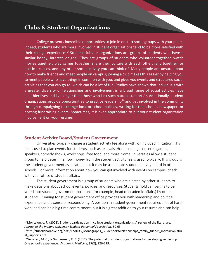## <span id="page-19-0"></span>**Clubs & Student Organizations**

College presents incredible opportunities to join in or start social groups with your peers; indeed, students who are more involved in student organizations tend to be more satisfied with their college experience!<sup>14</sup> Student clubs or organizations are groups of students who have a similar hobby, interest, or goal. They are groups of students who volunteer together, watch movies together, play games together, share their culture with each other, rally together for political causes, and any other social activity you can think of. Many people are unsure about how to make friends and meet people on campus; joining a club makes this easier by helping you to meet people who have things in common with you, and gives you events and structured social activities that you can go to, which can be a lot of fun. Studies have shown that individuals with a greater diversity of relationships and involvement in a broad range of social activies have healthier lives and live longer than those who lack such natural supports<sup>15</sup>. Additionally, student organizations provide opportunities to practice leadership<sup>16</sup> and get involved in the community through campaigning to change local or school policies, writing for the school's newspaper, or hosting fundraising events. Sometimes, it is even appropriate to put your student organization involvement on your resume!

### <span id="page-19-1"></span>**Student Activity Board/Student Government**

Universities typically charge a student activity fee along with, or included in, tuition. This fee is used to plan events for students, such as festivals, Homecoming, concerts, games, speakers, comedy shows, workshops, free food, and more. Some universities allow a student group to help determine how money from the student activity fee is used; typically, this group is the student government association, but it may be a separate student activity board in other schools. For more information about how you can get involved with events on campus, check with your office of student affairs.

The student government is a group of students who are elected by other students to make decisions about school events, policies, and resources. Students hold campaigns to be voted into student government positions (for example, head of academic affairs) by other students. Running for student government office provides you with leadership and political experience and a sense of responsibility. A position in student government requires a lot of hard work and can be a big time commitment, but it is a great addition to your resume and can help

<sup>&</sup>lt;sup>14</sup> Montelongo, R. (2002). Student participation in college student organizations: A review of the literature. *Journal of the Indiana University Student Personnel Association,* 50-63.

<sup>&</sup>lt;sup>15</sup>[http://tucollaborative.org/pdfs/Toolkits\\_Monographs\\_Guidebooks/relationships\\_family\\_friends\\_intimacy/Natur](http://tucollaborative.org/pdfs/Toolkits_Monographs_Guidebooks/relationships_family_friends_intimacy/Natur) al\_Supports.pdf

<sup>&</sup>lt;sup>16</sup> Veronesi, M. C., & Gunderman, R. B. (2012). The potential of student organizations for developing leadership: One school's experience. *Academic Medicine, 87*(2), 226-229.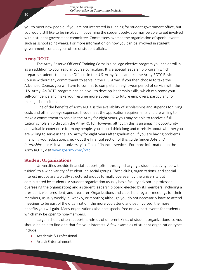*Temple University Collaborative on Community Inclusion*

you to meet new people. If you are not interested in running for student government office, but you would still like to be involved in governing the student body, you may be able to get involved with a student government committee. Committees oversee the organization of special events such as school spirit weeks. For more information on how you can be involved in student government, contact your office of student affairs.

#### <span id="page-20-0"></span>**Army ROTC**

The Army Reserve Officers' Training Corps is a college elective program you can enroll in as an addition to your regular course curriculum. It is a special leadership program which prepares students to become Officers in the U.S. Army. You can take the Army ROTC Basic Course without any commitment to serve in the U.S. Army. If you then choose to take the Advanced Course, you will have to commit to complete an eight-year period of service with the U.S. Army. An ROTC program can help you to develop leadership skills, which can boost your self-confidence and make your resume more appealing to future employers, particularly for managerial positions.

One of the benefits of Army ROTC is the availability of scholarships and stipends for living costs and other college expenses. If you meet the application requirements and are willing to make a commitment to serve in the Army for eight years, you may be able to receive a full tuition scholarship through the Army ROTC. However, although this is an amazing opportunity and valuable experience for many people, you should think long and carefully about whether you are willing to serve in the U.S. Army for eight years after graduation. If you are having problems financing your education, check out the financial section of this guide (under *Jobs and Internships*), or visit your university's office of financial services. For more information on the Army ROTC, visit [www.goarmy.com/rotc.](http://www.goarmy.com/rotc)

#### <span id="page-20-1"></span>**Student Organizations**

Universities provide financial support (often through charging a student activity fee with tuition) to a wide variety of student-led social groups. These clubs, organizations, and specialinterest groups are typically structured groups formally overseen by the university but administered by students. A student organization usually has a faculty advisor (a professor overseeing the organization) and a student leadership board elected by its members, including a president, vice-president, and treasurer. Organizations and clubs hold regular meetings for their members, usually weekly, bi-weekly, or monthly; although you do not necessarily have to attend meetings to be part of the organization, the more you attend and get involved, the more benefits you will gain. Many organizations also host special free or low-cost events for students which may be open to non-members.

Larger schools often support hundreds of different kinds of student organizations, so you should be able to find one that fits your interests. A few examples of student organization types include:

- Academic & Professional
- Arts & Entertainment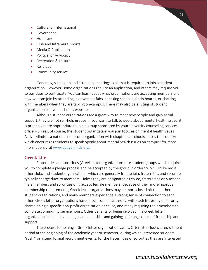- Cultural or International
- **Governance**
- Honorary
- Club and Intramural sports
- Media & Publication
- Political or Advocacy
- Recreation & Leisure
- Religious
- Community service

Generally, signing up and attending meetings is all that is required to join a student organization. However, some organizations require an application, and others may require you to pay dues to participate. You can learn about what organizations are accepting members and how you can join by attending involvement fairs, checking school bulletin boards, or chatting with members when they are tabling on-campus. There may also be a listing of student organizations on your school's website.

Although student organizations are a great way to meet new people and gain social support, they are not self-help groups. If you want to talk to peers about mental health issues, it is probably more appropriate to join a group sponsored by your university counseling services office – unless, of course, the student organization you join focuses on mental health issues! Active Minds is a national nonprofit organization with chapters at schools across the country which encourages students to speak openly about mental health issues on campus; for more information, visit [www.activeminds.org.](http://www.activeminds.org/)

### <span id="page-21-0"></span>**Greek Life**

Fraternities and sororities (Greek letter organizations) are student groups which require you to complete a pledge process and be accepted by the group in order to join. Unlike most other clubs and student organizations, which are generally free to join, fraternities and sororities typically charge dues to members. Unless they are designated as co-ed, fraternities only accept male members and sororities only accept female members. Because of their more rigorous membership requirements, Greek letter organizations may be more close-knit than other student organizations, and many members experience a strong sense of connection to each other. Greek letter organizations have a focus on philanthropy, with each fraternity or sorority championing a specific non-profit organization or cause, and many requiring their members to complete community service hours. Other benefits of being involved in a Greek letter organization include developing leadership skills and gaining a lifelong source of friendship and support.

The process for joining a Greek letter organization varies. Often, it includes a recruitment period at the beginning of the academic year or semester, during which interested students "rush," or attend formal recruitment events, for the fraternities or sororities they are interested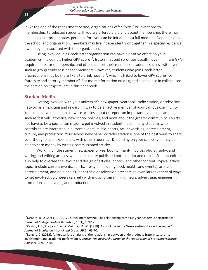in. At the end of the recruitment period, organizations offer "bids," or invitations to membership, to selected students. If you are offered a bid and accept membership, there may be a pledge or probationary period before you can be initiated as a full member. Depending on the school and organization, members may live independently or together in a special residence owned by or associated with the organization.

Being involved in a Greek letter organization can have a positive effect on your academics, including a higher GPA score<sup>17</sup>; fraternities and sororities usually have minimum GPA requirements for membership, and often support their members' academic success with events such as group study sessions for members. However, students who join Greek letter organizations may be more likely to drink heavily<sup>18</sup>, which is linked to lower GPA scores for fraternity and sorority members<sup>19</sup>. For more information on drug and alcohol use in college, see the section on *Staying Safe* in this handbook.

### <span id="page-22-0"></span>**Student Media**

Getting involved with your university's newspaper, yearbook, radio station, or television network is an exciting and rewarding way to be an active member of your campus community. You could have the chance to write articles about or report on important events on campus, such as festivals, athletics, new school policies, and news about the greater community. You do not have to be a journalism major to get involved in student media; many students who contribute are interested in current events, music, sports, art, advertising, entertainment, culture, and production. Your school newspaper or radio station is one of the best ways to share your thoughts and experiences with other students. Depending on your school, you may be able to earn money by writing commissioned articles.

Working on the student newspaper or yearbook primarily involves photography, and writing and editing articles, which are usually published both in print and online. Student editors also help to oversee the layout and design of articles, photos, and other content. Typical article topics include current events, sports, lifestyle (including food, health, and events), arts and entertainment, and opinions. Student radio or television presents an even larger variety of ways to get involved: volunteers can help with music, programming, news, advertising, engineering, promotions and events, and production.

<sup>&</sup>lt;sup>17</sup> DeBard, R., & Sacks, C. (2012). Greek membership: The relationship with first-year academic performance. *Journal of College Student Retention, 13*(1), 109-126.

<sup>&</sup>lt;sup>18</sup> Cashin, J. R., Presley, C. A., & Meilman, P. W. (1998). Alcohol use in the Greek system: Follow the leader? *Journal of Studies on Alcohol and Drugs, 59*(1), 63-70.

 $19$  Long, L. D. (2012). A multivariate analysis of the relationship between undergraduate fraternity/sorority involvement and academic performance. *Oracle: The Research Journal of the Association of Fraternity/Sorority Advisors, 7*(2), 37-48.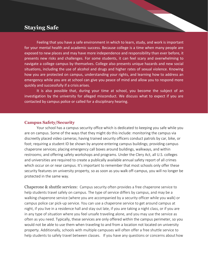## <span id="page-23-0"></span>**Staying Safe**

Feeling that you have a safe environment in which to learn, study, and work is important for your mental health and academic success. Because college is a time when many people are exposed to new places and may have more independence and responsibility than ever before, it presents new risks and challenges. For some students, it can feel scary and overwhelming to navigate a college campus by themselves. College also presents unique hazards and new social situations, including the use of alcohol and drugs and higher rates of sexual violence. Knowing how you are protected on campus, understanding your rights, and learning how to address an emergency while you are at school can give you peace of mind and allow you to respond more quickly and successfully if a crisis arises.

It is also possible that, during your time at school, you become the subject of an investigation by the university for alleged misconduct. We discuss what to expect if you are contacted by campus police or called for a disciplinary hearing.

## <span id="page-23-1"></span>**Campus Safety/Security**

Your school has a campus security office which is dedicated to keeping you safe while you are on campus. Some of the ways that they might do this include: monitoring the campus via discreetly placed video cameras; having trained security officers conduct patrols by car, bike, or foot; requiring a student ID be shown by anyone entering campus buildings; providing campus chaperone services; placing emergency call boxes around buildings, walkways, and within restrooms; and offering safety workshops and programs. Under the Clery Act, all U.S. colleges and universities are required to create a publically available annual safety report of all crimes which occur on or near campus. It's important to remember that most schools only offer these security features on university property, so as soon as you walk off-campus, you will no longer be protected in the same way.

<span id="page-23-2"></span>Chaperone & shuttle services: Campus security often provides a free chaperone service to help students travel safely on campus. The type of service differs by campus, and may be a walking chaperone service (where you are accompanied by a security officer while you walk) or campus police car pick-up service. You can use a chaperone service to get around campus at night, if you live in a residence hall and stay out late, if you are taking a night class, or if you are in any type of situation where you feel unsafe traveling alone, and you may use the service as often as you need. Typically, these services are only offered within the campus perimeter, so you would not be able to use them when traveling to and from a location not located on university property. Additionally, schools with multiple campuses will often offer a free shuttle service to help students to safely travel between classes. If you have any questions or concerns about how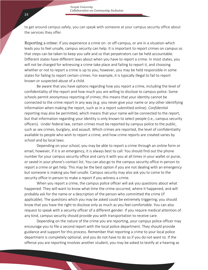to get around campus safely, you can speak with someone at your campus security office about the services they offer.

<span id="page-24-0"></span>Reporting a crime: If you experience a crime on- or off-campus, or are in a situation which leads you to feel unsafe, campus security can help. It is important to report crimes on campus so that steps can be taken to keep you safe and so that perpetrators can be held accountable. Different states have different laws about when you have to report a crime. In most states, you will not be charged for witnessing a crime take place and failing to report it, and choosing whether or not to report a crime is up to you; however, you may be held responsible in some states for failing to report certain crimes. For example, it is typically illegal to fail to report known or suspected abuse of a child.

Be aware that you have options regarding how you report a crime, including the level of confidentiality of the report and how much you are willing to disclose to campus police. Some schools permit *anonymous* reporting of crimes; this means that your identity cannot be connected to the crime report in any way (e.g. you never give your name or any other identifying information when making the report, such as in a report submitted online). *Confidential*  reporting may also be permitted, which means that your name will be connected to the report, but that information regarding your identity is only known to select people (i.e., campus security officers). Under federal law, certain crimes must be reported by campus police to the public, such as sex crimes, burglary, and assault. Which crimes are reported, the level of confidentiality available to people who wish to report a crime, and how crime reports are created varies by school and by local laws.

Depending on your school, you may be able to report a crime through an online form or email; however, if it is an emergency, it is always best to call. You should find out the phone number for your campus security office and carry it with you at all times in your wallet or purse, or saved in your phone's contact list. You can also go to the campus security office in person to report a crime or get help. This may be the best option if you are not dealing with an emergency but someone is making you feel unsafe. Campus security may also ask you to come to the security office in person to make a report if you witness a crime.

When you report a crime, the campus police officer will ask you questions about what happened. They will want to know what time the crime occurred, where it happened, and will probably ask for the name or a description of the person who committed the crime (if applicable). The questions which you may be asked could be extremely triggering; you should know that you have the right to disclose only as much as you feel comfortable. You can also request to speak with a security officer of a different gender. If you require medical attention of any kind, campus security should provide you with transportation to receive care.

Depending on the nature of the crime you are reporting, your campus police officer may encourage you to file a second report with the local police department. They should provide guidance and support for this process. Remember that reporting a crime to your local police department is completely optional, and you do not have to do so if you do not want to. If the offense you are reporting involves another student, you may be asked to testify at a hearing as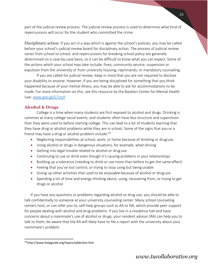part of the judicial review process. The judicial review process is used to determine what kind of repercussions will occur for the student who committed the crime.

<span id="page-25-0"></span>Disciplinary action: If you act in a way which is against the school's policies, you may be called before your school's judicial review board for disciplinary action. The process of judicial review varies from school to school, and repercussions for breaking school policy are generally determined on a case-by-case basis, so it can be difficult to know what you can expect. Some of the actions which your school may take include: fines; community service; suspension or expulsion from the university or from university housing; reprimands; or mandatory counseling.

If you are called for judicial review, keep in mind that you are not required to disclose your disability to anyone. However, if you are being disciplined for something that you think happened because of your mental illness, you may be able to ask for accommodations to be made. For more information on this, see this resource by the Bazelon Center for Mental Health Law: [www.goo.gl/G7ctvP](http://www.goo.gl/G7ctvP)

## <span id="page-25-1"></span>**Alcohol & Drugs**

College is a time when many students are first exposed to alcohol and drugs. Drinking is common at many college social events, and students often have less structure and supervision than they were used to before starting college. This can lead to a lot of students learning that they have drug or alcohol problems while they are in school. Some of the signs that you or a friend may have a drug or alcohol problem include:<sup>20</sup>

- Neglecting responsibilities at school, work, or home because of drinking or druguse.
- Using alcohol or drugs in dangerous situations, for example, when driving
- Getting into legal trouble related to alcohol or drug use
- Continuing to use or drink even though it's causing problems in your relationships
- Building up a tolerance (needing to drink or use more than before to get the same effect)
- Feeling that you've lost control, or trying to stop using but being unable
- Giving up other activities that used to be enjoyable because of alcohol or drug use
- Spending a lot of time and energy thinking about, using, recovering from, or trying to get drugs or alcohol

If you have any questions or problems regarding alcohol or drug use, you should be able to talk confidentially to someone at your university counseling center. Many school counseling centers host, or can refer you to, self-help groups such as AA or NA, which provide peer support for people dealing with alcohol and drug problems. If you live in a residence hall and have concerns about a roommate's use of alcohol or drugs, your resident advisor (RA) can help you to talk to them; be aware that the RA will likely have to file a report with the university about your roommate's problem.

<sup>20</sup><http://www.helpguide.org/topics/addiction.htm>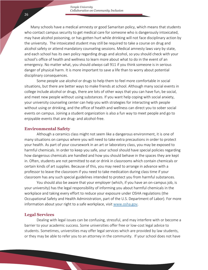Many schools have a medical amnesty or good Samaritan policy, which means that students who contact campus security to get medical care for someone who is dangerously intoxicated, may have alcohol poisoning, or has gotten hurt while drinking will not face disciplinary action by the university. The intoxicated student may still be required to take a course on drug and alcohol safety or attend mandatory counseling sessions. Medical amnesty laws vary by state, and each school has its own policy regarding drugs and alcohol, so you should check with your school's office of health and wellness to learn more about what to do in the event of an emergency. No matter what, you should *always* call 911 if you think someone is in serious danger of physical harm. It is more important to save a life than to worry about potential disciplinary consequences.

Some people use alcohol or drugs to help them to feel more comfortable in social situations, but there are better ways to make friends at school. Although many social events in college include alcohol or drugs, there are lots of other ways that you can have fun, be social, and meet new people without using substances. If you want help coping with social anxiety, your university counseling center can help you with strategies for interacting with people without using or drinking, and the office of health and wellness can direct you to sober social events on campus. Joining a student organization is also a fun way to meet people and go to enjoyable events that are drug- and alcohol-free.

#### <span id="page-26-0"></span>**Environmental Safety**

Although a ceramics class might not seem like a dangerous environment, it is one of many situations on campus where you will need to take extra precautions in order to protect your health. As part of your coursework in an art or laboratory class, you may be exposed to harmful chemicals. In order to keep you safe, your school should have special policies regarding how dangerous chemicals are handled and how you should behave in the spaces they are kept in. Often, students are not permitted to eat or drink in classrooms which contain chemicals or certain kinds of art supplies. Because of this, you may need to arrange in advance with a professor to leave the classroom if you need to take medication during class time if your classroom has any such special guidelines intended to protect you from harmful substances.

You should also be aware that your employer (which, if you have an on-campus job, is your university) has the legal responsibility of informing you about harmful chemicals in the workplace and taking every effort to reduce your exposure under OSHA regulations (the Occupational Safety and Health Administration, part of the U.S. Department of Labor). For more information about your right to a safe workplace, visi[t www.osha.gov.](http://www.osha.gov/)

#### <span id="page-26-1"></span>**Legal Services**

Dealing with legal issues can be confusing, stressful, and may interfere with or become a barrier to your academic success. Some universities offer free or low-cost legal advice to students. Sometimes, universities may offer legal services which are provided by law students, or they may be able to refer you to an attorney in the community. If your school does not have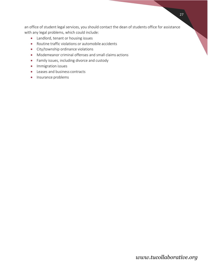an office of student legal services, you should contact the dean of students office for assistance with any legal problems, which could include:

- Landlord, tenant or housing issues
- Routine traffic violations or automobile accidents
- City/township ordinance violations
- Misdemeanor criminal offenses and small claims actions
- Family issues, including divorce and custody
- **•** Immigration issues
- Leases and business contracts
- Insurance problems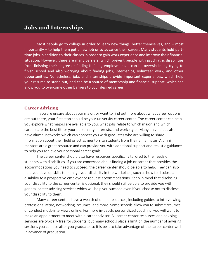## <span id="page-28-0"></span>**Jobs and Internships**

Most people go to college in order to learn new things, better themselves, and – most importantly – to help them get a new job or to advance their career. Many students hold parttime jobs in addition to their classes in order to gain work experience and improve their financial situation. However, there are many barriers, which prevent people with psychiatric disabilities from finishing their degree or finding fulfilling employment. It can be overwhelming trying to finish school and also worrying about finding jobs, internships, volunteer work, and other opportunities. Nonetheless, jobs and internships provide important experiences, which help your resume to stand out, and can be a source of mentorship and financial support, which can allow you to overcome other barriers to your desired career.

### <span id="page-28-1"></span>**Career Advising**

If you are unsure about your major, or want to find out more about what career options are out there, your first stop should be your university career center. The career center can help you explore what majors are available to you, what jobs relate to which major, and which careers are the best fit for your personality, interests, and work style. Many universities also have alumni networks which can connect you with graduates who are willing to share information about their field or act as mentors to students from their alma mater. Alumni mentors are a great resource and can provide you with additional support and realistic guidance to help you achieve your personal career goals.

The career center should also have resources specifically tailored to the needs of students with disabilities. If you are concerned about finding a job or career that provides the accommodations you need to succeed, the career center should be able to help. They can also help you develop skills to manage your disability in the workplace, such as how to disclose a disability to a prospective employer or request accommodations. Keep in mind that disclosing your disability to the career center is optional; they should still be able to provide you with general career advising services which will help you succeed even if you choose not to disclose your disability to them.

Many career centers have a wealth of online resources, including guides to interviewing, professional attire, networking, resumes, and more. Some schools allow you to submit resumes or conduct mock-interviews online. For more in-depth, personalized coaching, you will want to make an appointment to meet with a career advisor. All career center resources and advising services are typically free for students, but many schools place a limit on the number of advising sessions you can use after you graduate, so it is best to take advantage of the career center well in advance of graduation.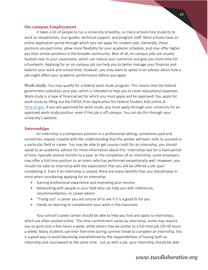### <span id="page-29-0"></span>**On-campus Employment**

It takes a lot of people to run a university smoothly, so many schools hire students to work as receptionists, tour guides, technical support, and program staff. Most schools have an online application portal through which you can apply for student jobs. Generally, these positions are part-time, allow more flexibility for your academic schedule, and may offer higher pay than similar positions in the broader community. Best of all, on-campus jobs are usually located near to your classrooms, which can reduce your commute and give you more time for schoolwork. Applying for an on-campus job can help you to better manage your finances and balance your work and school time; however, you may want to speak to an advisor about how a job might affect your academic performance before you apply.

Work-study: You may qualify for a federal work-study program. This means that the federal government subsidizes your pay, which is intended to help you to cover educational expenses. Work-study is a type of financial aid for which you must apply and be approved. You apply for work-study by filling out the FAFSA (Free Application for Federal Student Aid) online at fafsa.ed.gov. If you are approved for work-study, you must apply through your university for an approved work-study position, even if the job is off-campus. You can do this through your university's website.

## <span id="page-29-1"></span>**Internships**

An internship is a temporary position in a professional setting, sometimes paid and sometimes unpaid, created with the understanding that the worker will learn skills to succeed in a particular field or career. You may be able to get course credit for an internship; you should speak to an academic advisor for more information about this. Internships last for a fixed period of time, typically several months to a year; at the completion of an internship, some employers may offer a full-time position to an intern who has performed exceptionally well. However, you should not take an internship with the expectation that you will be offered a job upon completing it. Even if an internship is unpaid, there are many benefits that you should keep in mind when considering applying for an internship:

- Gaining professional experience and improving your resume
- Networking with people in your field who can help you with references, recommendations, or career advice
- "Trying out" a career you are unsure of to see if it is a good fit for you
- Hands-on learning to complement your work in the classroom

Your school's career center should be able to help you find and apply to internships, which are often posted online. The time commitment varies by internship; some may require you to work only a few hours a week, while others may be similar to a full-time job (35-40 hours a week). Many students use their free time during summer break to complete an internship; this is a good way to avoid becoming overwhelmed by the responsibilities of having both an internship and coursework at the same time. Just as with a job, your internship should be able

#### 29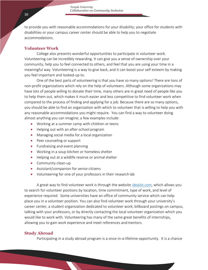*Temple University Collaborative on Community Inclusion*

to provide you with reasonable accommodations for your disability; your office for students with disabilities or your campus career center should be able to help you to negotiate accommodations.

#### <span id="page-30-0"></span>**Volunteer Work**

College also presents wonderful opportunities to participate in volunteer work. Volunteering can be incredibly rewarding. It can give you a sense of ownership over your community, help you to feel connected to others, and feel that you are using your time in a meaningful way. Volunteering is a way to give back, and it can boost your self-esteem by making you feel important and looked-up to.

One of the best parts of volunteering is that you have so many options! There are tons of non-profit organizations which rely on the help of volunteers. Although some organizations may have lots of people willing to donate their time, many others are in great need of people like you to help them out, which makes it much easier and less competitive to find volunteer work when compared to the process of finding and applying for a job. Because there are so many options, you should be able to find an organization with which to volunteer that is willing to help you with any reasonable accommodations you might require. You can find a way to volunteer doing almost anything you can imagine; a few examples include:

- Working at a summer camp with children or teens
- Helping out with an after-school program
- Managing social media for a local organization
- Peer counseling or support
- Fundraising and event planning
- Working in a soup kitchen or homeless shelter
- Helping out at a wildlife reserve or animal shelter
- Community clean-up
- Assistant/companion for senior citizens
- Volunteering for one of your professors in their research lab

A great way to find volunteer work is through the website [idealist.com,](http://www.idealist.com/) which allows you to search for volunteer positions by location, time commitment, type of work, and level of experience required. Some universities have an office of community service which can help place you in a volunteer position. You can also find volunteer work through your university's career center, a student organization dedicated to volunteer work, billboard postings on campus, talking with your professors, or by directly contacting the local volunteer organization which you would like to work with. Volunteering has many of the same great benefits of internships, allowing you to gain work experience and meet references and mentors.

#### <span id="page-30-1"></span>**Study Abroad**

Participating in a study abroad program is a once-in-a-lifetime opportunity. It is a chance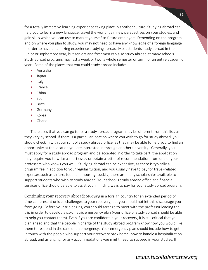for a totally immersive learning experience taking place in another culture. Studying abroad can help you to learn a new language, travel the world, gain new perspectives on your studies, and gain skills which you can use to market yourself to future employers. Depending on the program and on where you plan to study, you may not need to have any knowledge of a foreign language in order to have an amazing experience studying abroad. Most students study abroad in their junior or sophomore year, but seniors and freshmen can also study abroad at many schools. Study abroad programs may last a week or two, a whole semester or term, or an entire academic year. Some of the places that you could study abroad include:

- Australia
- Japan
- $\bullet$  Italy
- France
- China
- Spain
- **•** Brazil
- **•** Germany
- Korea
- Ghana

The places that you can go to for a study abroad program may be different from this list, as they vary by school. If there is a particular location where you wish to go for study abroad, you should check in with your school's study abroad office, as they may be able to help you to find an opportunity at the location you are interested in through another university. Generally, you must apply for a study abroad program and be accepted in order to take part; the application may require you to write a short essay or obtain a letter of recommendation from one of your professors who knows you well. Studying abroad can be expensive, as there is typically a program fee in addition to your regular tuition, and you usually have to pay for travel-related expenses such as airfare, food, and housing. Luckily, there are many scholarships available to support students who wish to study abroad. Your school's study abroad office and financial services office should be able to assist you in finding ways to pay for your study abroad program.

<span id="page-31-0"></span>Continuing your recovery abroad: Studying in a foreign country for an extended period of time can present unique challenges to your recovery, but you should not let this discourage you from going! Before your trip begins, you should arrange to meet with the professor leading the trip in order to develop a psychiatric emergency plan (your office of study abroad should be able to help you contact them). Even if you are confident in your recovery, it is still critical that you plan ahead and that the people in charge of the study abroad program know how you would like them to respond in the case of an emergency. Your emergency plan should include how to get in touch with the people who support your recovery back home, how to handle a hospitalization abroad, and arranging for any accommodations you might need to succeed in your studies. If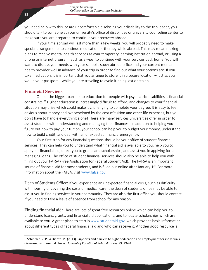you need help with this, or are uncomfortable disclosing your disability to the trip leader, you should talk to someone at your university's office of disabilities or university counseling center to make sure you are prepared to continue your recovery abroad.

If your time abroad will last more than a few weeks, you will probably need to make special arrangements to continue medication or therapy while abroad. This may mean making plans to receive mental health services at your temporary learning institution abroad, or using a phone or internet program (such as Skype) to continue with your services back home. You will want to discuss your needs with your school's study abroad office and your current mental health provider well in advance of your trip in order to find out what your options are. If you take medication, it is important that you arrange to store it in a secure location – just as you would your passport – while you are traveling to avoid it being lost or stolen.

### <span id="page-32-0"></span>**Financial Services**

One of the biggest barriers to education for people with psychiatric disabilities is financial constraints.<sup>21</sup>Higher education is increasingly difficult to afford, and changes to your financial situation may arise which could make it challenging to complete your degree. It is easy to feel anxious about money and overwhelmed by the cost of tuition and other life expenses, but you don't have to handle everything alone! There are many services universities offer in order to assist students with understanding and managing their finances. In addition to helping you figure out how to pay your tuition, your school can help you to budget your money, understand how to build credit, and deal with an unexpected financial emergency.

Your first stop for any financial questions should be your office of student financial services. They can help you to understand what financial aid is available to you, help you to apply for financial aid, direct you to grants and scholarships, and assist you in applying for and managing loans. The office of student financial services should also be able to help you with filling out your FAFSA (Free Application for Federal Student Aid). The FAFSA is an important source of financial aid for most students, and is filled out online after January  $1<sup>st</sup>$ . For more information about the FAFSA, visit [www.fafsa.gov.](http://www.fafsa.gov/)

<span id="page-32-1"></span>Dean of Students Office: If you experience an unexpected financial crisis, such as difficulty with housing or covering the costs of medical care, the dean of students office may be able to assist you in finding services in your community. They are also the first office you should contact if you need to take a leave of absence from school for any reason.

<span id="page-32-2"></span>Finding financial aid: There are lots of great free resources online which can help you to understand loans, grants, and financial aid applications, and to locate scholarships which are available to you. A great place to start is [www.studentaid.gov,](http://www.studentaid.gov/) which provides basic information about different types of federal financial aid and who can receive it. Another good resource is

 $21$  Schindler, V. P., & Kientz, M. (2013). Supports and barriers to higher education and employment for individuals diagnosed with mental illness. *Journal of Vocational Rehabilitation, 39,* 29-41.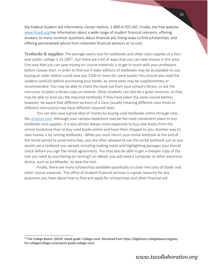the Federal Student Aid Information Center Hotline, 1-800-4-FED-AID. Finally, the free website [www.finaid.org h](http://www.finaid.org/)as information about a wide range of student financial concerns, offering answers to many common questions about financial aid, listing ways to find scholarships, and offering personalized advice from volunteer financial advisors at no cost.

<span id="page-33-0"></span>Textbooks & supplies: The average yearly cost for textbooks and other class supplies at a fouryear public college is \$1,200<sup>22</sup>, but there are a lot of ways that you can save money in this area. One way that you can save money on course materials is to get in touch with your professors before classes start, in order to find out if older editions of textbooks may be acceptable to use; buying an older edition could save you \$100 or more for some books! You should also read the syllabus carefully before purchasing your books, as some texts may be supplementary or recommended. You may be able to check the book out from your school's library, or ask the instructor to place a library copy on reserve. Other students can also be a great resource, as they may be able to lend you the required textbooks if they have taken the same course before; however, be aware that different sections of a class (usually meaning different class times or different instructors) may have different required texts.

You can also save a great deal of money by buying used textbooks online through sites like [amazon.com.](http://www.amazon.com/) Although your campus bookstore may be the most convenient place to buy textbooks and supplies, it is also almost always more expensive to buy new books from the school bookstore than to buy used books online and have them shipped to you. Another way to save money is by renting textbooks. While you must return your rental textbook at the end of the rental period to avoid extra fees, you are often allowed to use the rental textbook just as you would use a textbook you owned, including making notes and highlighting passages (you should check before you sign the rental agreement). You may also be able to get a cheaper copy of the text you need by purchasing (or renting!) an eBook; you will need a computer or other electronic device, such as an eReader, to view the text.

Finally, there are many scholarships available specifically to cover the costs of books and other course materials. The office of student financial services is a great resource for any questions you have about how to find and apply for scholarships and other financial aid.

<sup>&</sup>lt;sup>22</sup> The College Board. (2014). Quick guide: College costs. Retrieved from https://bigfuture.collegeboard.org/payfor-college/college-costs/quick-guide-college-costs